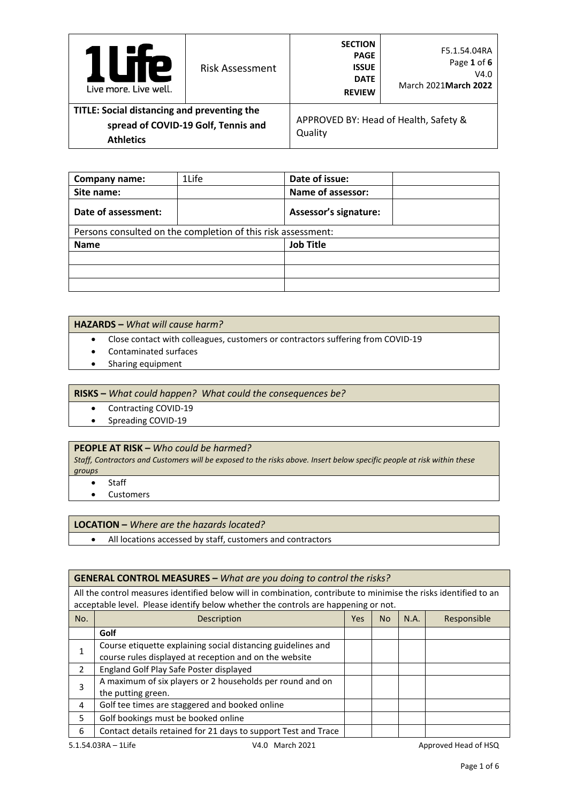| e<br>Live more. Live well.                                      | <b>Risk Assessment</b>              | <b>SECTION</b><br><b>PAGE</b><br><b>ISSUE</b><br><b>DATE</b><br><b>REVIEW</b> | F5.1.54.04RA<br>Page 1 of 6<br>V4.0<br>March 2021 March 2022 |
|-----------------------------------------------------------------|-------------------------------------|-------------------------------------------------------------------------------|--------------------------------------------------------------|
| TITLE: Social distancing and preventing the<br><b>Athletics</b> | spread of COVID-19 Golf, Tennis and | Quality                                                                       | APPROVED BY: Head of Health, Safety &                        |

| Company name:       | 1Life                                                        | Date of issue:               |
|---------------------|--------------------------------------------------------------|------------------------------|
| Site name:          |                                                              | Name of assessor:            |
| Date of assessment: |                                                              | <b>Assessor's signature:</b> |
|                     | Persons consulted on the completion of this risk assessment: |                              |
| <b>Name</b>         |                                                              | <b>Job Title</b>             |
|                     |                                                              |                              |
|                     |                                                              |                              |
|                     |                                                              |                              |

## **HAZARDS –** *What will cause harm?*

- Close contact with colleagues, customers or contractors suffering from COVID-19
- Contaminated surfaces
- Sharing equipment

**RISKS –** *What could happen? What could the consequences be?*

- Contracting COVID-19
- Spreading COVID-19

### **PEOPLE AT RISK –** *Who could be harmed?*

*Staff, Contractors and Customers will be exposed to the risks above. Insert below specific people at risk within these groups*

- Staff
- Customers

## **LOCATION –** *Where are the hazards located?*

• All locations accessed by staff, customers and contractors

### **GENERAL CONTROL MEASURES –** *What are you doing to control the risks?*

All the control measures identified below will in combination, contribute to minimise the risks identified to an acceptable level. Please identify below whether the controls are happening or not.

| No.                | Description                                                    | Yes | <b>No</b> | N.A. | Responsible |
|--------------------|----------------------------------------------------------------|-----|-----------|------|-------------|
|                    | Golf                                                           |     |           |      |             |
|                    | Course etiquette explaining social distancing guidelines and   |     |           |      |             |
|                    | course rules displayed at reception and on the website         |     |           |      |             |
| 2                  | England Golf Play Safe Poster displayed                        |     |           |      |             |
| 3                  | A maximum of six players or 2 households per round and on      |     |           |      |             |
| the putting green. |                                                                |     |           |      |             |
| 4                  | Golf tee times are staggered and booked online                 |     |           |      |             |
| 5                  | Golf bookings must be booked online                            |     |           |      |             |
| 6                  | Contact details retained for 21 days to support Test and Trace |     |           |      |             |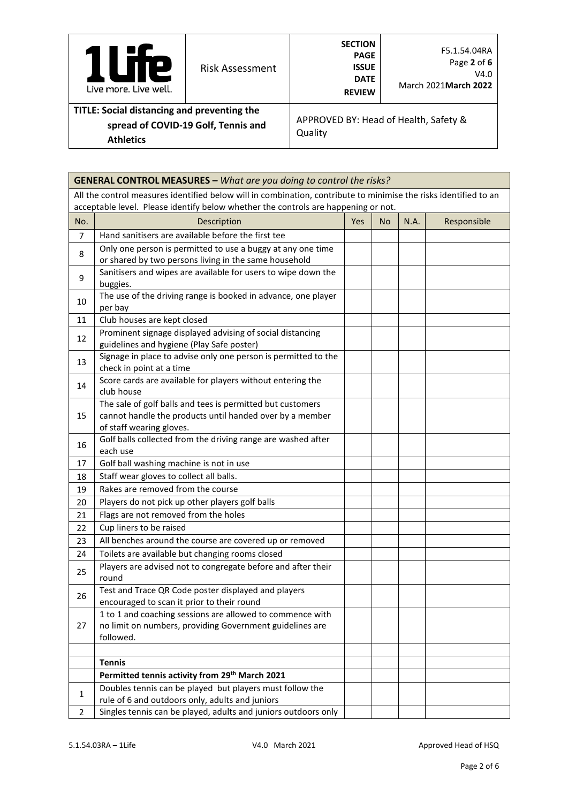| <b>TP</b><br>Live more, Live well.                                                                     | <b>Risk Assessment</b> | <b>SECTION</b><br><b>PAGE</b><br><b>ISSUE</b><br><b>DATE</b><br><b>REVIEW</b> | F5.1.54.04RA<br>Page 2 of 6<br>V4.0<br>March 2021 March 2022 |
|--------------------------------------------------------------------------------------------------------|------------------------|-------------------------------------------------------------------------------|--------------------------------------------------------------|
| TITLE: Social distancing and preventing the<br>spread of COVID-19 Golf, Tennis and<br><b>Athletics</b> |                        | Quality                                                                       | APPROVED BY: Head of Health, Safety &                        |

|                                                                                    | <b>GENERAL CONTROL MEASURES - What are you doing to control the risks?</b>                                                                         |            |     |      |             |
|------------------------------------------------------------------------------------|----------------------------------------------------------------------------------------------------------------------------------------------------|------------|-----|------|-------------|
|                                                                                    | All the control measures identified below will in combination, contribute to minimise the risks identified to an                                   |            |     |      |             |
| acceptable level. Please identify below whether the controls are happening or not. |                                                                                                                                                    |            |     |      |             |
| No.                                                                                | Description                                                                                                                                        | <b>Yes</b> | No. | N.A. | Responsible |
| $\overline{7}$                                                                     | Hand sanitisers are available before the first tee                                                                                                 |            |     |      |             |
| 8                                                                                  | Only one person is permitted to use a buggy at any one time<br>or shared by two persons living in the same household                               |            |     |      |             |
| 9                                                                                  | Sanitisers and wipes are available for users to wipe down the<br>buggies.                                                                          |            |     |      |             |
| 10                                                                                 | The use of the driving range is booked in advance, one player<br>per bay                                                                           |            |     |      |             |
| 11                                                                                 | Club houses are kept closed                                                                                                                        |            |     |      |             |
| 12                                                                                 | Prominent signage displayed advising of social distancing<br>guidelines and hygiene (Play Safe poster)                                             |            |     |      |             |
| 13                                                                                 | Signage in place to advise only one person is permitted to the<br>check in point at a time                                                         |            |     |      |             |
| 14                                                                                 | Score cards are available for players without entering the<br>club house                                                                           |            |     |      |             |
| 15                                                                                 | The sale of golf balls and tees is permitted but customers<br>cannot handle the products until handed over by a member<br>of staff wearing gloves. |            |     |      |             |
| 16                                                                                 | Golf balls collected from the driving range are washed after<br>each use                                                                           |            |     |      |             |
| 17                                                                                 | Golf ball washing machine is not in use                                                                                                            |            |     |      |             |
| 18                                                                                 | Staff wear gloves to collect all balls.                                                                                                            |            |     |      |             |
| 19                                                                                 | Rakes are removed from the course                                                                                                                  |            |     |      |             |
| 20                                                                                 | Players do not pick up other players golf balls                                                                                                    |            |     |      |             |
| 21                                                                                 | Flags are not removed from the holes                                                                                                               |            |     |      |             |
| 22                                                                                 | Cup liners to be raised                                                                                                                            |            |     |      |             |
| 23                                                                                 | All benches around the course are covered up or removed                                                                                            |            |     |      |             |
| 24                                                                                 | Toilets are available but changing rooms closed                                                                                                    |            |     |      |             |
| 25                                                                                 | Players are advised not to congregate before and after their<br>round                                                                              |            |     |      |             |
| 26                                                                                 | Test and Trace QR Code poster displayed and players<br>encouraged to scan it prior to their round                                                  |            |     |      |             |
| 27                                                                                 | 1 to 1 and coaching sessions are allowed to commence with<br>no limit on numbers, providing Government guidelines are<br>followed.                 |            |     |      |             |
|                                                                                    | <b>Tennis</b>                                                                                                                                      |            |     |      |             |
|                                                                                    | Permitted tennis activity from 29 <sup>th</sup> March 2021                                                                                         |            |     |      |             |
|                                                                                    | Doubles tennis can be played but players must follow the                                                                                           |            |     |      |             |
| 1                                                                                  | rule of 6 and outdoors only, adults and juniors                                                                                                    |            |     |      |             |
| 2                                                                                  | Singles tennis can be played, adults and juniors outdoors only                                                                                     |            |     |      |             |

ř.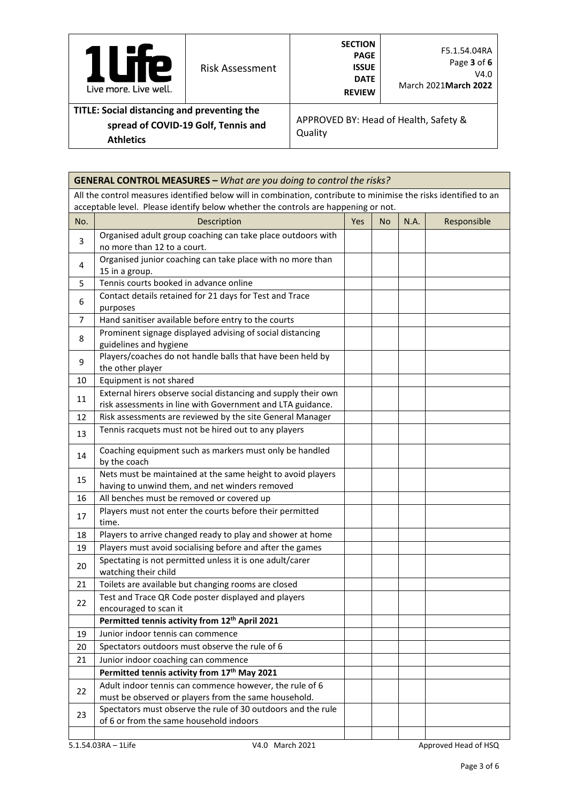| Р<br>Live more. Live well.                                                                             | <b>Risk Assessment</b> | <b>SECTION</b><br><b>PAGE</b><br><b>ISSUE</b><br><b>DATE</b><br><b>REVIEW</b> | F5.1.54.04RA<br>Page 3 of 6<br>V4.0<br>March 2021 March 2022 |  |
|--------------------------------------------------------------------------------------------------------|------------------------|-------------------------------------------------------------------------------|--------------------------------------------------------------|--|
| TITLE: Social distancing and preventing the<br>spread of COVID-19 Golf, Tennis and<br><b>Athletics</b> |                        | APPROVED BY: Head of Health, Safety &<br>Quality                              |                                                              |  |

|     | <b>GENERAL CONTROL MEASURES - What are you doing to control the risks?</b>                                                   |     |           |      |             |
|-----|------------------------------------------------------------------------------------------------------------------------------|-----|-----------|------|-------------|
|     | All the control measures identified below will in combination, contribute to minimise the risks identified to an             |     |           |      |             |
|     | acceptable level. Please identify below whether the controls are happening or not.                                           |     |           |      |             |
| No. | Description                                                                                                                  | Yes | <b>No</b> | N.A. | Responsible |
| 3   | Organised adult group coaching can take place outdoors with<br>no more than 12 to a court.                                   |     |           |      |             |
| 4   | Organised junior coaching can take place with no more than<br>15 in a group.                                                 |     |           |      |             |
| 5   | Tennis courts booked in advance online                                                                                       |     |           |      |             |
| 6   | Contact details retained for 21 days for Test and Trace<br>purposes                                                          |     |           |      |             |
| 7   | Hand sanitiser available before entry to the courts                                                                          |     |           |      |             |
| 8   | Prominent signage displayed advising of social distancing<br>guidelines and hygiene                                          |     |           |      |             |
| 9   | Players/coaches do not handle balls that have been held by<br>the other player                                               |     |           |      |             |
| 10  | Equipment is not shared                                                                                                      |     |           |      |             |
| 11  | External hirers observe social distancing and supply their own<br>risk assessments in line with Government and LTA guidance. |     |           |      |             |
| 12  | Risk assessments are reviewed by the site General Manager                                                                    |     |           |      |             |
| 13  | Tennis racquets must not be hired out to any players                                                                         |     |           |      |             |
| 14  | Coaching equipment such as markers must only be handled<br>by the coach                                                      |     |           |      |             |
| 15  | Nets must be maintained at the same height to avoid players<br>having to unwind them, and net winders removed                |     |           |      |             |
| 16  | All benches must be removed or covered up                                                                                    |     |           |      |             |
| 17  | Players must not enter the courts before their permitted<br>time.                                                            |     |           |      |             |
| 18  | Players to arrive changed ready to play and shower at home                                                                   |     |           |      |             |
| 19  | Players must avoid socialising before and after the games                                                                    |     |           |      |             |
| 20  | Spectating is not permitted unless it is one adult/carer<br>watching their child                                             |     |           |      |             |
| 21  | Toilets are available but changing rooms are closed                                                                          |     |           |      |             |
| 22  | Test and Trace QR Code poster displayed and players<br>encouraged to scan it                                                 |     |           |      |             |
|     | Permitted tennis activity from 12 <sup>th</sup> April 2021                                                                   |     |           |      |             |
| 19  | Junior indoor tennis can commence                                                                                            |     |           |      |             |
| 20  | Spectators outdoors must observe the rule of 6                                                                               |     |           |      |             |
| 21  | Junior indoor coaching can commence                                                                                          |     |           |      |             |
|     | Permitted tennis activity from 17th May 2021                                                                                 |     |           |      |             |
| 22  | Adult indoor tennis can commence however, the rule of 6<br>must be observed or players from the same household.              |     |           |      |             |
| 23  | Spectators must observe the rule of 30 outdoors and the rule<br>of 6 or from the same household indoors                      |     |           |      |             |
|     |                                                                                                                              |     |           |      |             |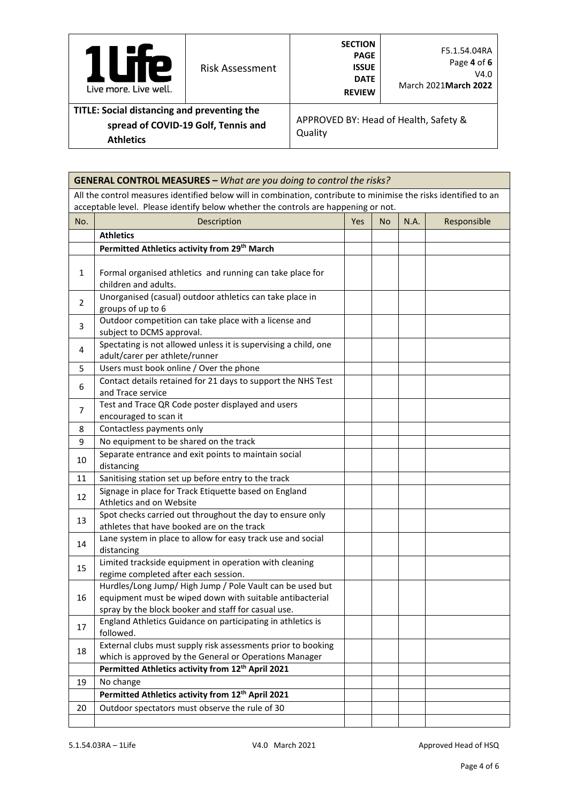| e<br>Live more, Live well.                                      | Risk Assessment                     | <b>SECTION</b><br><b>PAGE</b><br><b>ISSUE</b><br><b>DATE</b><br><b>REVIEW</b> | F5.1.54.04RA<br>Page 4 of 6<br>V4.0<br>March 2021 March 2022 |
|-----------------------------------------------------------------|-------------------------------------|-------------------------------------------------------------------------------|--------------------------------------------------------------|
| TITLE: Social distancing and preventing the<br><b>Athletics</b> | spread of COVID-19 Golf, Tennis and | Quality                                                                       | APPROVED BY: Head of Health, Safety &                        |

|                                                                | <b>GENERAL CONTROL MEASURES - What are you doing to control the risks?</b>                                                                                                                             |  |  |  |  |  |
|----------------------------------------------------------------|--------------------------------------------------------------------------------------------------------------------------------------------------------------------------------------------------------|--|--|--|--|--|
|                                                                | All the control measures identified below will in combination, contribute to minimise the risks identified to an<br>acceptable level. Please identify below whether the controls are happening or not. |  |  |  |  |  |
| Description<br>N.A.<br>Responsible<br>No.<br><b>Yes</b><br>No. |                                                                                                                                                                                                        |  |  |  |  |  |
|                                                                | <b>Athletics</b>                                                                                                                                                                                       |  |  |  |  |  |
|                                                                | Permitted Athletics activity from 29th March                                                                                                                                                           |  |  |  |  |  |
|                                                                |                                                                                                                                                                                                        |  |  |  |  |  |
| $\mathbf{1}$                                                   | Formal organised athletics and running can take place for<br>children and adults.                                                                                                                      |  |  |  |  |  |
| $\overline{2}$                                                 | Unorganised (casual) outdoor athletics can take place in<br>groups of up to 6                                                                                                                          |  |  |  |  |  |
| 3                                                              | Outdoor competition can take place with a license and<br>subject to DCMS approval.                                                                                                                     |  |  |  |  |  |
| 4                                                              | Spectating is not allowed unless it is supervising a child, one<br>adult/carer per athlete/runner                                                                                                      |  |  |  |  |  |
| 5                                                              | Users must book online / Over the phone                                                                                                                                                                |  |  |  |  |  |
| 6                                                              | Contact details retained for 21 days to support the NHS Test<br>and Trace service                                                                                                                      |  |  |  |  |  |
| $\overline{7}$                                                 | Test and Trace QR Code poster displayed and users<br>encouraged to scan it                                                                                                                             |  |  |  |  |  |
| 8                                                              | Contactless payments only                                                                                                                                                                              |  |  |  |  |  |
| 9                                                              | No equipment to be shared on the track                                                                                                                                                                 |  |  |  |  |  |
| 10                                                             | Separate entrance and exit points to maintain social<br>distancing                                                                                                                                     |  |  |  |  |  |
| 11                                                             | Sanitising station set up before entry to the track                                                                                                                                                    |  |  |  |  |  |
| 12                                                             | Signage in place for Track Etiquette based on England<br>Athletics and on Website                                                                                                                      |  |  |  |  |  |
| 13                                                             | Spot checks carried out throughout the day to ensure only<br>athletes that have booked are on the track                                                                                                |  |  |  |  |  |
| 14                                                             | Lane system in place to allow for easy track use and social<br>distancing                                                                                                                              |  |  |  |  |  |
| 15                                                             | Limited trackside equipment in operation with cleaning<br>regime completed after each session.                                                                                                         |  |  |  |  |  |
| 16                                                             | Hurdles/Long Jump/ High Jump / Pole Vault can be used but<br>equipment must be wiped down with suitable antibacterial<br>spray by the block booker and staff for casual use.                           |  |  |  |  |  |
| 17                                                             | England Athletics Guidance on participating in athletics is<br>followed.                                                                                                                               |  |  |  |  |  |
| 18                                                             | External clubs must supply risk assessments prior to booking<br>which is approved by the General or Operations Manager                                                                                 |  |  |  |  |  |
|                                                                | Permitted Athletics activity from 12 <sup>th</sup> April 2021                                                                                                                                          |  |  |  |  |  |
| 19                                                             | No change                                                                                                                                                                                              |  |  |  |  |  |
|                                                                | Permitted Athletics activity from 12th April 2021                                                                                                                                                      |  |  |  |  |  |
| 20                                                             | Outdoor spectators must observe the rule of 30                                                                                                                                                         |  |  |  |  |  |
|                                                                |                                                                                                                                                                                                        |  |  |  |  |  |

É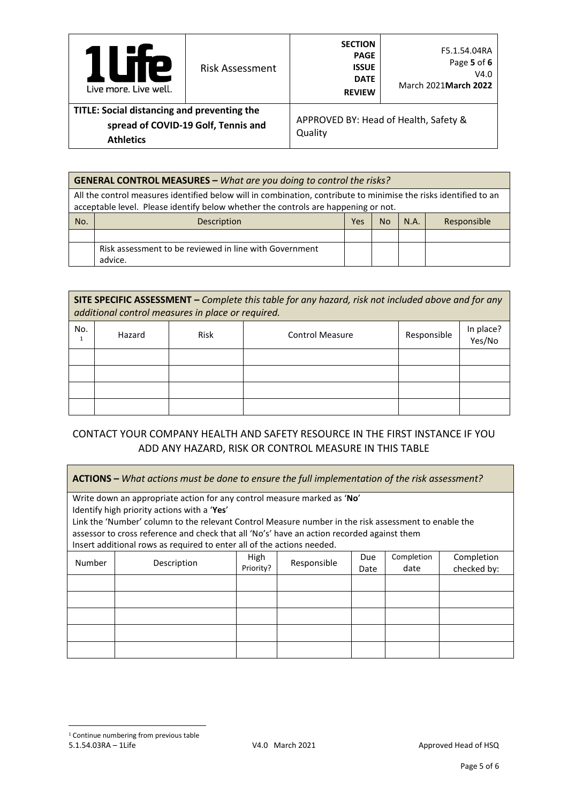| <b>TIE</b><br>U<br>Live more, Live well.                                                               | <b>Risk Assessment</b> | <b>SECTION</b><br><b>PAGE</b><br><b>ISSUE</b><br><b>DATE</b><br><b>REVIEW</b> | F5.1.54.04RA<br>Page 5 of 6<br>V4.0<br>March 2021 March 2022 |  |
|--------------------------------------------------------------------------------------------------------|------------------------|-------------------------------------------------------------------------------|--------------------------------------------------------------|--|
| TITLE: Social distancing and preventing the<br>spread of COVID-19 Golf, Tennis and<br><b>Athletics</b> |                        | APPROVED BY: Head of Health, Safety &<br>Quality                              |                                                              |  |

|                                                                                                                                                                                                        | <b>GENERAL CONTROL MEASURES - What are you doing to control the risks?</b> |  |  |  |  |  |
|--------------------------------------------------------------------------------------------------------------------------------------------------------------------------------------------------------|----------------------------------------------------------------------------|--|--|--|--|--|
| All the control measures identified below will in combination, contribute to minimise the risks identified to an<br>acceptable level. Please identify below whether the controls are happening or not. |                                                                            |  |  |  |  |  |
| No.<br>N.A.<br>Responsible<br>Description<br>Yes<br>No                                                                                                                                                 |                                                                            |  |  |  |  |  |
|                                                                                                                                                                                                        |                                                                            |  |  |  |  |  |
|                                                                                                                                                                                                        | Risk assessment to be reviewed in line with Government<br>advice.          |  |  |  |  |  |

**SITE SPECIFIC ASSESSMENT –** *Complete this table for any hazard, risk not included above and for any additional control measures in place or required.*

| No. | Hazard | Risk | <b>Control Measure</b> | Responsible | In place?<br>Yes/No |
|-----|--------|------|------------------------|-------------|---------------------|
|     |        |      |                        |             |                     |
|     |        |      |                        |             |                     |
|     |        |      |                        |             |                     |
|     |        |      |                        |             |                     |

# CONTACT YOUR COMPANY HEALTH AND SAFETY RESOURCE IN THE FIRST INSTANCE IF YOU ADD ANY HAZARD, RISK OR CONTROL MEASURE IN THIS TABLE

<span id="page-4-0"></span>**ACTIONS –** *What actions must be done to ensure the full implementation of the risk assessment?* Write down an appropriate action for any control measure marked as '**No**' Identify high priority actions with a '**Yes**' Link the 'Number' column to the relevant Control Measure number in the risk assessment to enable the assessor to cross reference and check that all 'No's' have an action recorded against them Insert additional rows as required to enter all of the actions needed. Number Description | High<br>Priority? Responsible Due Date Completion date **Completion** checked by: